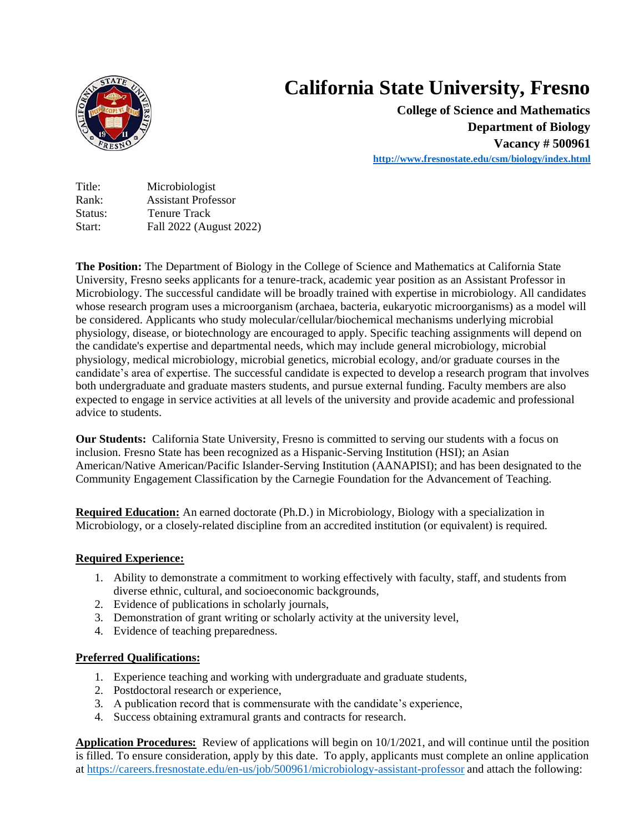

## **California State University, Fresno**

**College of Science and Mathematics Department of Biology Vacancy # 500961 [http://www.fresnostate.edu/csm/b](http://www.fresnostate.edu/csm/)iology/index.html**

Title: Microbiologist Rank: Assistant Professor Status: Tenure Track Start: Fall 2022 (August 2022)

**The Position:** The Department of Biology in the College of Science and Mathematics at California State University, Fresno seeks applicants for a tenure-track, academic year position as an Assistant Professor in Microbiology. The successful candidate will be broadly trained with expertise in microbiology. All candidates whose research program uses a microorganism (archaea, bacteria, eukaryotic microorganisms) as a model will be considered. Applicants who study molecular/cellular/biochemical mechanisms underlying microbial physiology, disease, or biotechnology are encouraged to apply. Specific teaching assignments will depend on the candidate's expertise and departmental needs, which may include general microbiology, microbial physiology, medical microbiology, microbial genetics, microbial ecology, and/or graduate courses in the candidate's area of expertise. The successful candidate is expected to develop a research program that involves both undergraduate and graduate masters students, and pursue external funding. Faculty members are also expected to engage in service activities at all levels of the university and provide academic and professional advice to students.

**Our Students:** California State University, Fresno is committed to serving our students with a focus on inclusion. Fresno State has been recognized as a Hispanic-Serving Institution (HSI); an Asian American/Native American/Pacific Islander-Serving Institution (AANAPISI); and has been designated to the Community Engagement Classification by the Carnegie Foundation for the Advancement of Teaching.

**Required Education:** An earned doctorate (Ph.D.) in Microbiology, Biology with a specialization in Microbiology, or a closely-related discipline from an accredited institution (or equivalent) is required.

## **Required Experience:**

- 1. Ability to demonstrate a commitment to working effectively with faculty, staff, and students from diverse ethnic, cultural, and socioeconomic backgrounds,
- 2. Evidence of publications in scholarly journals,
- 3. Demonstration of grant writing or scholarly activity at the university level,
- 4. Evidence of teaching preparedness.

## **Preferred Qualifications:**

- 1. Experience teaching and working with undergraduate and graduate students,
- 2. Postdoctoral research or experience,
- 3. A publication record that is commensurate with the candidate's experience,
- 4. Success obtaining extramural grants and contracts for research.

**Application Procedures:** Review of applications will begin on 10/1/2021, and will continue until the position is filled. To ensure consideration, apply by this date. To apply, applicants must complete an online application a[t https://careers.fresnostate.edu/en-us/job/500961/microbiology-assistant-professor](https://careers.fresnostate.edu/en-us/job/500961/microbiology-assistant-professor) and attach the following: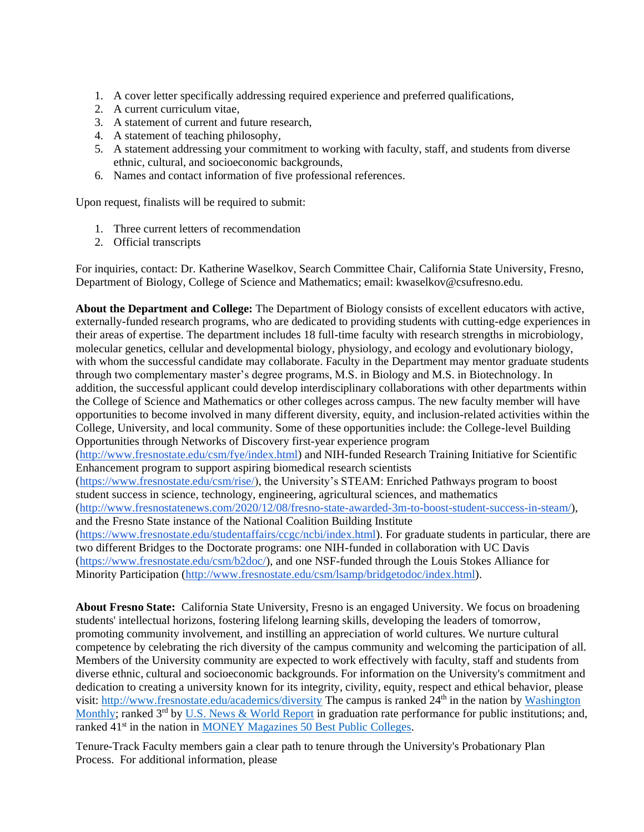- 1. A cover letter specifically addressing required experience and preferred qualifications,
- 2. A current curriculum vitae,
- 3. A statement of current and future research,
- 4. A statement of teaching philosophy,
- 5. A statement addressing your commitment to working with faculty, staff, and students from diverse ethnic, cultural, and socioeconomic backgrounds,
- 6. Names and contact information of five professional references.

Upon request, finalists will be required to submit:

- 1. Three current letters of recommendation
- 2. Official transcripts

For inquiries, contact: Dr. Katherine Waselkov, Search Committee Chair, California State University, Fresno, Department of Biology, College of Science and Mathematics; email: kwaselkov@csufresno.edu.

**About the Department and College:** The Department of Biology consists of excellent educators with active, externally-funded research programs, who are dedicated to providing students with cutting-edge experiences in their areas of expertise. The department includes 18 full-time faculty with research strengths in microbiology, molecular genetics, cellular and developmental biology, physiology, and ecology and evolutionary biology, with whom the successful candidate may collaborate. Faculty in the Department may mentor graduate students through two complementary master's degree programs, M.S. in Biology and M.S. in Biotechnology. In addition, the successful applicant could develop interdisciplinary collaborations with other departments within the College of Science and Mathematics or other colleges across campus. The new faculty member will have opportunities to become involved in many different diversity, equity, and inclusion-related activities within the College, University, and local community. Some of these opportunities include: the College-level Building Opportunities through Networks of Discovery first-year experience program [\(http://www.fresnostate.edu/csm/fye/index.html\)](http://www.fresnostate.edu/csm/fye/index.html) and NIH-funded Research Training Initiative for Scientific Enhancement program to support aspiring biomedical research scientists [\(https://www.fresnostate.edu/csm/rise/\)](https://www.fresnostate.edu/csm/rise/), the University's STEAM: Enriched Pathways program to boost student success in science, technology, engineering, agricultural sciences, and mathematics [\(http://www.fresnostatenews.com/2020/12/08/fresno-state-awarded-3m-to-boost-student-success-in-steam/\)](http://www.fresnostatenews.com/2020/12/08/fresno-state-awarded-3m-to-boost-student-success-in-steam/), and the Fresno State instance of the National Coalition Building Institute [\(https://www.fresnostate.edu/studentaffairs/ccgc/ncbi/index.html\)](https://www.fresnostate.edu/studentaffairs/ccgc/ncbi/index.html). For graduate students in particular, there are two different Bridges to the Doctorate programs: one NIH-funded in collaboration with UC Davis [\(https://www.fresnostate.edu/csm/b2doc/\)](https://www.fresnostate.edu/csm/b2doc/), and one NSF-funded through the Louis Stokes Alliance for Minority Participation [\(http://www.fresnostate.edu/csm/lsamp/bridgetodoc/index.html\)](http://www.fresnostate.edu/csm/lsamp/bridgetodoc/index.html).

**About Fresno State:** California State University, Fresno is an engaged University. We focus on broadening students' intellectual horizons, fostering lifelong learning skills, developing the leaders of tomorrow, promoting community involvement, and instilling an appreciation of world cultures. We nurture cultural competence by celebrating the rich diversity of the campus community and welcoming the participation of all. Members of the University community are expected to work effectively with faculty, staff and students from diverse ethnic, cultural and socioeconomic backgrounds. For information on the University's commitment and dedication to creating a university known for its integrity, civility, equity, respect and ethical behavior, please visit: <http://www.fresnostate.edu/academics/diversity> The campus is ranked 24<sup>th</sup> in the nation by Washington [Monthly;](https://washingtonmonthly.com/2018college-guide?ranking=2018-rankings-national-universities) ranked 3<sup>rd</sup> by [U.S. News & World Report](https://www.usnews.com/best-colleges/rankings/national-universities) in graduation rate performance for public institutions; and, ranked 41<sup>st</sup> in the nation in [MONEY Magazines 50 Best Public Colleges.](http://time.com/money/best-colleges/profile/california-state-university-fresno/)

Tenure-Track Faculty members gain a clear path to tenure through the University's Probationary Plan Process. For additional information, please